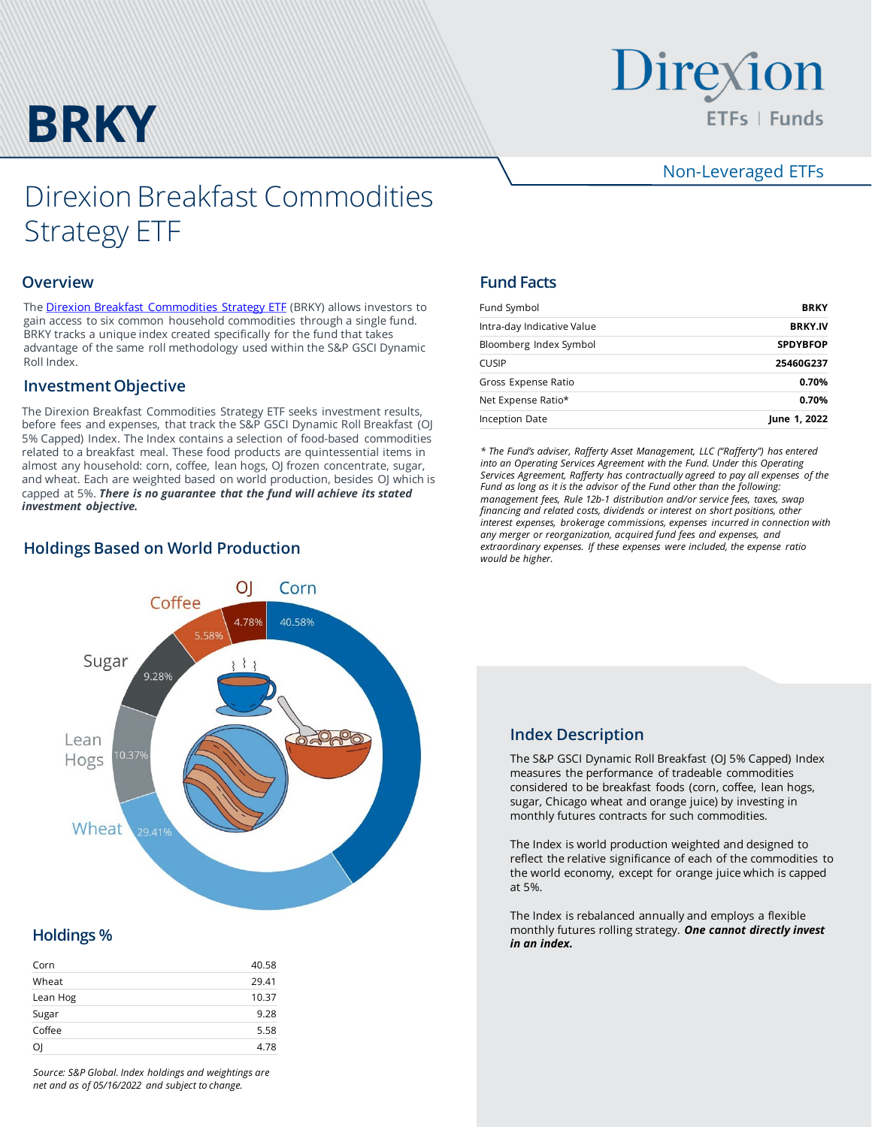

# Direxion ETFs | Funds

## Non-Leveraged ETFs

## Direxion Breakfast Commodities Strategy ETF

#### **Overview**

The **Direxion Breakfast Commodities Strategy ETF** (BRKY) allows investors to gain access to six common household commodities through a single fund. BRKY tracks a unique index created specifically for the fund that takes advantage of the same roll methodology used within the S&P GSCI Dynamic Roll Index.

#### **Investment Objective**

The Direxion Breakfast Commodities Strategy ETF seeks investment results, before fees and expenses, that track the S&P GSCI Dynamic Roll Breakfast (OJ 5% Capped) Index. The Index contains a selection of food-based commodities related to a breakfast meal. These food products are quintessential items in almost any household: corn, coffee, lean hogs, OJ frozen concentrate, sugar, and wheat. Each are weighted based on world production, besides OJ which is capped at 5%. *There is no guarantee that the fund will achieve its stated investment objective.*

## **Holdings Based on World Production**



## *in an index.* **Holdings %**

| Corn     | 40.58 |
|----------|-------|
| Wheat    | 29.41 |
| Lean Hog | 10.37 |
| Sugar    | 9.28  |
| Coffee   | 5.58  |
| Οl       | 4.78  |
|          |       |

*Source: S&P Global. Index holdings and weightings are net and as of 05/16/2022 and subject to change.*

## **Fund Facts**

| Fund Symbol                | <b>BRKY</b>     |  |  |
|----------------------------|-----------------|--|--|
| Intra-day Indicative Value | <b>BRKY.IV</b>  |  |  |
| Bloomberg Index Symbol     | <b>SPDYBFOP</b> |  |  |
| <b>CUSIP</b>               | 25460G237       |  |  |
| Gross Expense Ratio        | 0.70%           |  |  |
| Net Expense Ratio*         | 0.70%           |  |  |
| Inception Date             | June 1, 2022    |  |  |

*\* The Fund's adviser, Rafferty Asset Management, LLC ("Rafferty") has entered into an Operating Services Agreement with the Fund. Under this Operating Services Agreement, Rafferty has contractually agreed to pay all expenses of the Fund as long as it is the advisor of the Fund other than the following: management fees, Rule 12b-1 distribution and/or service fees, taxes, swap financing and related costs, dividends or interest on short positions, other interest expenses, brokerage commissions, expenses incurred in connection with any merger or reorganization, acquired fund fees and expenses, and extraordinary expenses. If these expenses were included, the expense ratio would be higher.*

### **Index Description**

The S&P GSCI Dynamic Roll Breakfast (OJ 5% Capped) Index measures the performance of tradeable commodities considered to be breakfast foods (corn, coffee, lean hogs, sugar, Chicago wheat and orange juice) by investing in monthly futures contracts for such commodities.

The Index is world production weighted and designed to reflect the relative significance of each of the commodities to the world economy, except for orange juice which is capped at 5%.

The Index is rebalanced annually and employs a flexible monthly futures rolling strategy. *One cannot directly invest*